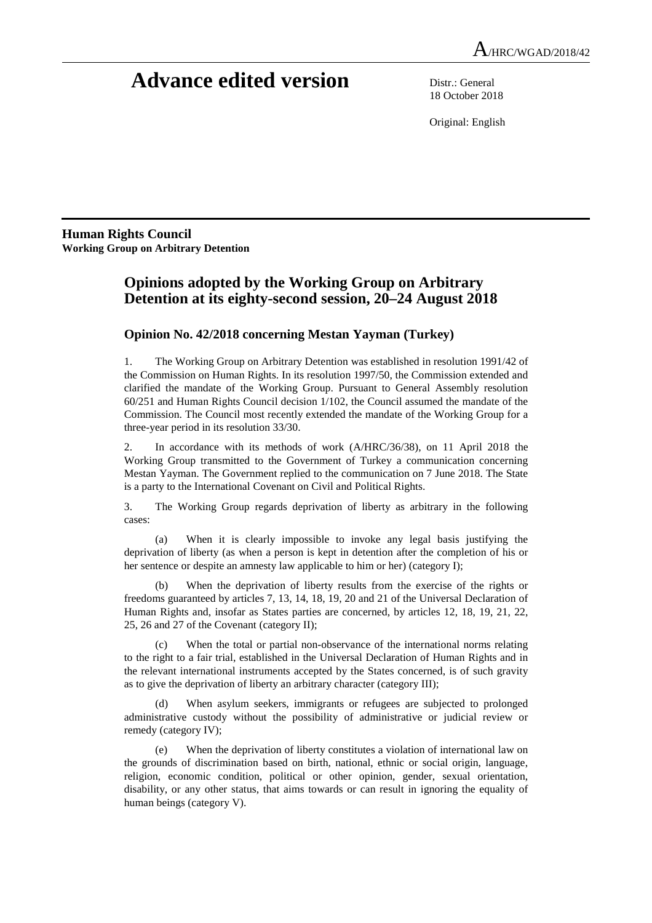# **Advance edited version** Distr.: General

18 October 2018

Original: English

**Human Rights Council Working Group on Arbitrary Detention** 

## **Opinions adopted by the Working Group on Arbitrary Detention at its eighty-second session, 20–24 August 2018**

### **Opinion No. 42/2018 concerning Mestan Yayman (Turkey)**

1. The Working Group on Arbitrary Detention was established in resolution 1991/42 of the Commission on Human Rights. In its resolution 1997/50, the Commission extended and clarified the mandate of the Working Group. Pursuant to General Assembly resolution 60/251 and Human Rights Council decision 1/102, the Council assumed the mandate of the Commission. The Council most recently extended the mandate of the Working Group for a three-year period in its resolution 33/30.

2. In accordance with its methods of work (A/HRC/36/38), on 11 April 2018 the Working Group transmitted to the Government of Turkey a communication concerning Mestan Yayman. The Government replied to the communication on 7 June 2018. The State is a party to the International Covenant on Civil and Political Rights.

3. The Working Group regards deprivation of liberty as arbitrary in the following cases:

 (a) When it is clearly impossible to invoke any legal basis justifying the deprivation of liberty (as when a person is kept in detention after the completion of his or her sentence or despite an amnesty law applicable to him or her) (category I);

 (b) When the deprivation of liberty results from the exercise of the rights or freedoms guaranteed by articles 7, 13, 14, 18, 19, 20 and 21 of the Universal Declaration of Human Rights and, insofar as States parties are concerned, by articles 12, 18, 19, 21, 22, 25, 26 and 27 of the Covenant (category II);

 (c) When the total or partial non-observance of the international norms relating to the right to a fair trial, established in the Universal Declaration of Human Rights and in the relevant international instruments accepted by the States concerned, is of such gravity as to give the deprivation of liberty an arbitrary character (category III);

When asylum seekers, immigrants or refugees are subjected to prolonged administrative custody without the possibility of administrative or judicial review or remedy (category IV);

 (e) When the deprivation of liberty constitutes a violation of international law on the grounds of discrimination based on birth, national, ethnic or social origin, language, religion, economic condition, political or other opinion, gender, sexual orientation, disability, or any other status, that aims towards or can result in ignoring the equality of human beings (category V).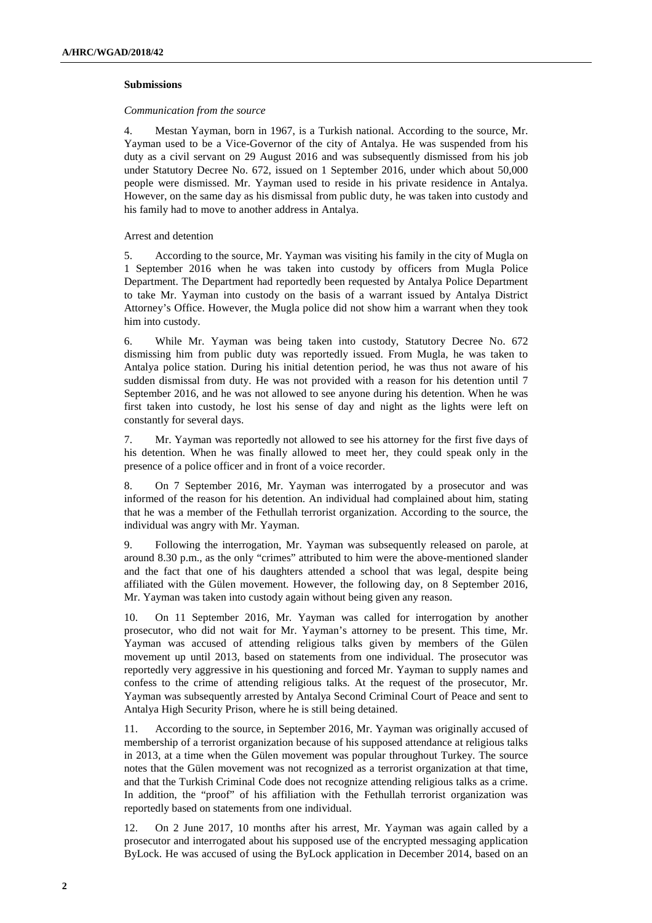#### **Submissions**

#### *Communication from the source*

4. Mestan Yayman, born in 1967, is a Turkish national. According to the source, Mr. Yayman used to be a Vice-Governor of the city of Antalya. He was suspended from his duty as a civil servant on 29 August 2016 and was subsequently dismissed from his job under Statutory Decree No. 672, issued on 1 September 2016, under which about 50,000 people were dismissed. Mr. Yayman used to reside in his private residence in Antalya. However, on the same day as his dismissal from public duty, he was taken into custody and his family had to move to another address in Antalya.

#### Arrest and detention

5. According to the source, Mr. Yayman was visiting his family in the city of Mugla on 1 September 2016 when he was taken into custody by officers from Mugla Police Department. The Department had reportedly been requested by Antalya Police Department to take Mr. Yayman into custody on the basis of a warrant issued by Antalya District Attorney's Office. However, the Mugla police did not show him a warrant when they took him into custody.

6. While Mr. Yayman was being taken into custody, Statutory Decree No. 672 dismissing him from public duty was reportedly issued. From Mugla, he was taken to Antalya police station. During his initial detention period, he was thus not aware of his sudden dismissal from duty. He was not provided with a reason for his detention until 7 September 2016, and he was not allowed to see anyone during his detention. When he was first taken into custody, he lost his sense of day and night as the lights were left on constantly for several days.

7. Mr. Yayman was reportedly not allowed to see his attorney for the first five days of his detention. When he was finally allowed to meet her, they could speak only in the presence of a police officer and in front of a voice recorder.

8. On 7 September 2016, Mr. Yayman was interrogated by a prosecutor and was informed of the reason for his detention. An individual had complained about him, stating that he was a member of the Fethullah terrorist organization. According to the source, the individual was angry with Mr. Yayman.

9. Following the interrogation, Mr. Yayman was subsequently released on parole, at around 8.30 p.m., as the only "crimes" attributed to him were the above-mentioned slander and the fact that one of his daughters attended a school that was legal, despite being affiliated with the Gülen movement. However, the following day, on 8 September 2016, Mr. Yayman was taken into custody again without being given any reason.

10. On 11 September 2016, Mr. Yayman was called for interrogation by another prosecutor, who did not wait for Mr. Yayman's attorney to be present. This time, Mr. Yayman was accused of attending religious talks given by members of the Gülen movement up until 2013, based on statements from one individual. The prosecutor was reportedly very aggressive in his questioning and forced Mr. Yayman to supply names and confess to the crime of attending religious talks. At the request of the prosecutor, Mr. Yayman was subsequently arrested by Antalya Second Criminal Court of Peace and sent to Antalya High Security Prison, where he is still being detained.

11. According to the source, in September 2016, Mr. Yayman was originally accused of membership of a terrorist organization because of his supposed attendance at religious talks in 2013, at a time when the Gülen movement was popular throughout Turkey. The source notes that the Gülen movement was not recognized as a terrorist organization at that time, and that the Turkish Criminal Code does not recognize attending religious talks as a crime. In addition, the "proof" of his affiliation with the Fethullah terrorist organization was reportedly based on statements from one individual.

12. On 2 June 2017, 10 months after his arrest, Mr. Yayman was again called by a prosecutor and interrogated about his supposed use of the encrypted messaging application ByLock. He was accused of using the ByLock application in December 2014, based on an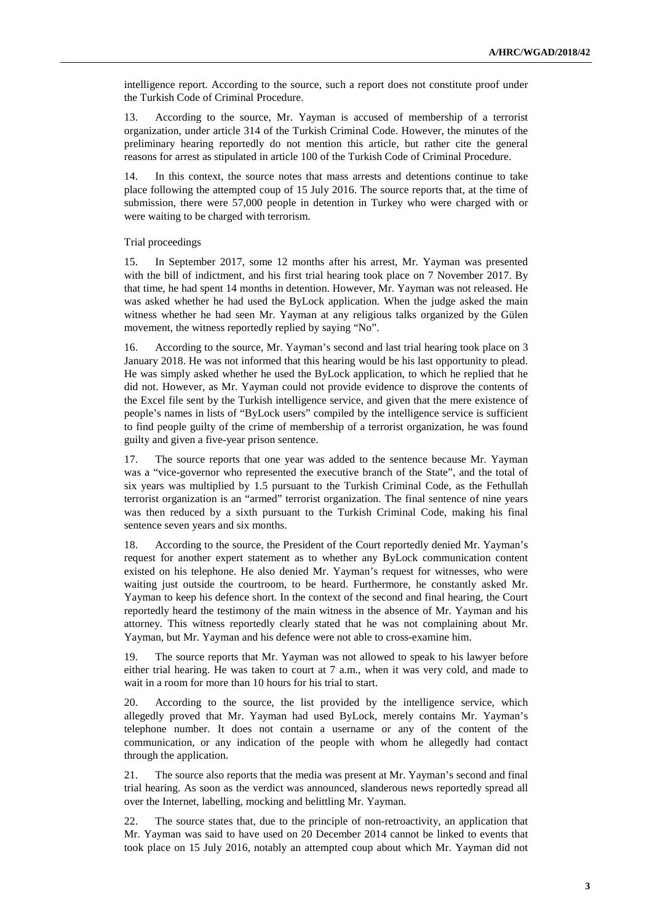intelligence report. According to the source, such a report does not constitute proof under the Turkish Code of Criminal Procedure.

13. According to the source, Mr. Yayman is accused of membership of a terrorist organization, under article 314 of the Turkish Criminal Code. However, the minutes of the preliminary hearing reportedly do not mention this article, but rather cite the general reasons for arrest as stipulated in article 100 of the Turkish Code of Criminal Procedure.

14. In this context, the source notes that mass arrests and detentions continue to take place following the attempted coup of 15 July 2016. The source reports that, at the time of submission, there were 57,000 people in detention in Turkey who were charged with or were waiting to be charged with terrorism.

Trial proceedings

15. In September 2017, some 12 months after his arrest, Mr. Yayman was presented with the bill of indictment, and his first trial hearing took place on 7 November 2017. By that time, he had spent 14 months in detention. However, Mr. Yayman was not released. He was asked whether he had used the ByLock application. When the judge asked the main witness whether he had seen Mr. Yayman at any religious talks organized by the Gülen movement, the witness reportedly replied by saying "No".

16. According to the source, Mr. Yayman's second and last trial hearing took place on 3 January 2018. He was not informed that this hearing would be his last opportunity to plead. He was simply asked whether he used the ByLock application, to which he replied that he did not. However, as Mr. Yayman could not provide evidence to disprove the contents of the Excel file sent by the Turkish intelligence service, and given that the mere existence of people's names in lists of "ByLock users" compiled by the intelligence service is sufficient to find people guilty of the crime of membership of a terrorist organization, he was found guilty and given a five-year prison sentence.

17. The source reports that one year was added to the sentence because Mr. Yayman was a "vice-governor who represented the executive branch of the State", and the total of six years was multiplied by 1.5 pursuant to the Turkish Criminal Code, as the Fethullah terrorist organization is an "armed" terrorist organization. The final sentence of nine years was then reduced by a sixth pursuant to the Turkish Criminal Code, making his final sentence seven years and six months.

18. According to the source, the President of the Court reportedly denied Mr. Yayman's request for another expert statement as to whether any ByLock communication content existed on his telephone. He also denied Mr. Yayman's request for witnesses, who were waiting just outside the courtroom, to be heard. Furthermore, he constantly asked Mr. Yayman to keep his defence short. In the context of the second and final hearing, the Court reportedly heard the testimony of the main witness in the absence of Mr. Yayman and his attorney. This witness reportedly clearly stated that he was not complaining about Mr. Yayman, but Mr. Yayman and his defence were not able to cross-examine him.

19. The source reports that Mr. Yayman was not allowed to speak to his lawyer before either trial hearing. He was taken to court at 7 a.m., when it was very cold, and made to wait in a room for more than 10 hours for his trial to start.

20. According to the source, the list provided by the intelligence service, which allegedly proved that Mr. Yayman had used ByLock, merely contains Mr. Yayman's telephone number. It does not contain a username or any of the content of the communication, or any indication of the people with whom he allegedly had contact through the application.

21. The source also reports that the media was present at Mr. Yayman's second and final trial hearing. As soon as the verdict was announced, slanderous news reportedly spread all over the Internet, labelling, mocking and belittling Mr. Yayman.

22. The source states that, due to the principle of non-retroactivity, an application that Mr. Yayman was said to have used on 20 December 2014 cannot be linked to events that took place on 15 July 2016, notably an attempted coup about which Mr. Yayman did not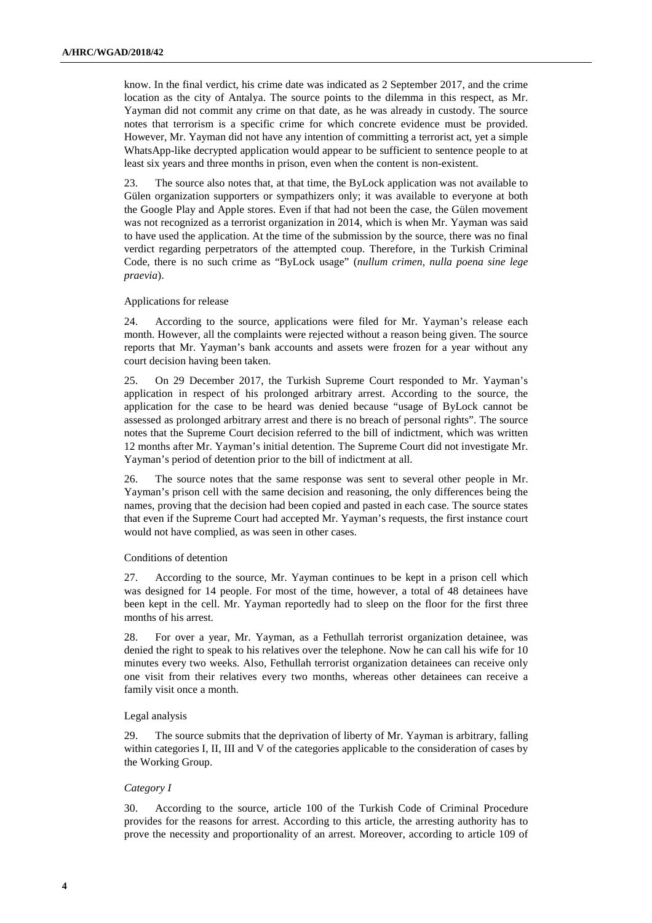know. In the final verdict, his crime date was indicated as 2 September 2017, and the crime location as the city of Antalya. The source points to the dilemma in this respect, as Mr. Yayman did not commit any crime on that date, as he was already in custody. The source notes that terrorism is a specific crime for which concrete evidence must be provided. However, Mr. Yayman did not have any intention of committing a terrorist act, yet a simple WhatsApp-like decrypted application would appear to be sufficient to sentence people to at least six years and three months in prison, even when the content is non-existent.

23. The source also notes that, at that time, the ByLock application was not available to Gülen organization supporters or sympathizers only; it was available to everyone at both the Google Play and Apple stores. Even if that had not been the case, the Gülen movement was not recognized as a terrorist organization in 2014, which is when Mr. Yayman was said to have used the application. At the time of the submission by the source, there was no final verdict regarding perpetrators of the attempted coup. Therefore, in the Turkish Criminal Code, there is no such crime as "ByLock usage" (*nullum crimen, nulla poena sine lege praevia*).

#### Applications for release

24. According to the source, applications were filed for Mr. Yayman's release each month. However, all the complaints were rejected without a reason being given. The source reports that Mr. Yayman's bank accounts and assets were frozen for a year without any court decision having been taken.

25. On 29 December 2017, the Turkish Supreme Court responded to Mr. Yayman's application in respect of his prolonged arbitrary arrest. According to the source, the application for the case to be heard was denied because "usage of ByLock cannot be assessed as prolonged arbitrary arrest and there is no breach of personal rights". The source notes that the Supreme Court decision referred to the bill of indictment, which was written 12 months after Mr. Yayman's initial detention. The Supreme Court did not investigate Mr. Yayman's period of detention prior to the bill of indictment at all.

26. The source notes that the same response was sent to several other people in Mr. Yayman's prison cell with the same decision and reasoning, the only differences being the names, proving that the decision had been copied and pasted in each case. The source states that even if the Supreme Court had accepted Mr. Yayman's requests, the first instance court would not have complied, as was seen in other cases.

#### Conditions of detention

27. According to the source, Mr. Yayman continues to be kept in a prison cell which was designed for 14 people. For most of the time, however, a total of 48 detainees have been kept in the cell. Mr. Yayman reportedly had to sleep on the floor for the first three months of his arrest.

28. For over a year, Mr. Yayman, as a Fethullah terrorist organization detainee, was denied the right to speak to his relatives over the telephone. Now he can call his wife for 10 minutes every two weeks. Also, Fethullah terrorist organization detainees can receive only one visit from their relatives every two months, whereas other detainees can receive a family visit once a month.

#### Legal analysis

29. The source submits that the deprivation of liberty of Mr. Yayman is arbitrary, falling within categories I, II, III and V of the categories applicable to the consideration of cases by the Working Group.

#### *Category I*

30. According to the source, article 100 of the Turkish Code of Criminal Procedure provides for the reasons for arrest. According to this article, the arresting authority has to prove the necessity and proportionality of an arrest. Moreover, according to article 109 of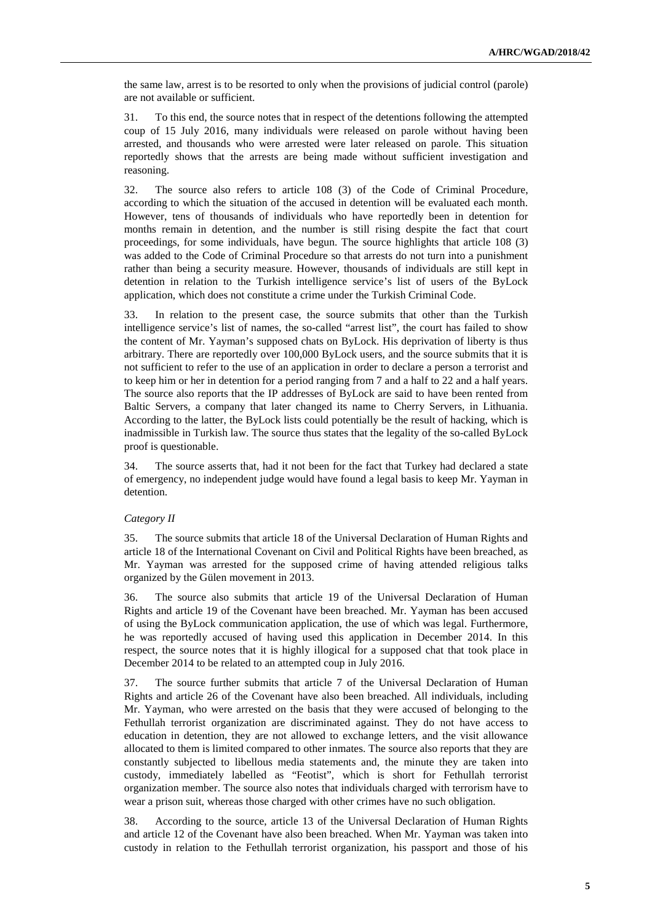the same law, arrest is to be resorted to only when the provisions of judicial control (parole) are not available or sufficient.

31. To this end, the source notes that in respect of the detentions following the attempted coup of 15 July 2016, many individuals were released on parole without having been arrested, and thousands who were arrested were later released on parole. This situation reportedly shows that the arrests are being made without sufficient investigation and reasoning.

32. The source also refers to article 108 (3) of the Code of Criminal Procedure, according to which the situation of the accused in detention will be evaluated each month. However, tens of thousands of individuals who have reportedly been in detention for months remain in detention, and the number is still rising despite the fact that court proceedings, for some individuals, have begun. The source highlights that article 108 (3) was added to the Code of Criminal Procedure so that arrests do not turn into a punishment rather than being a security measure. However, thousands of individuals are still kept in detention in relation to the Turkish intelligence service's list of users of the ByLock application, which does not constitute a crime under the Turkish Criminal Code.

33. In relation to the present case, the source submits that other than the Turkish intelligence service's list of names, the so-called "arrest list", the court has failed to show the content of Mr. Yayman's supposed chats on ByLock. His deprivation of liberty is thus arbitrary. There are reportedly over 100,000 ByLock users, and the source submits that it is not sufficient to refer to the use of an application in order to declare a person a terrorist and to keep him or her in detention for a period ranging from 7 and a half to 22 and a half years. The source also reports that the IP addresses of ByLock are said to have been rented from Baltic Servers, a company that later changed its name to Cherry Servers, in Lithuania. According to the latter, the ByLock lists could potentially be the result of hacking, which is inadmissible in Turkish law. The source thus states that the legality of the so-called ByLock proof is questionable.

34. The source asserts that, had it not been for the fact that Turkey had declared a state of emergency, no independent judge would have found a legal basis to keep Mr. Yayman in detention.

#### *Category II*

35. The source submits that article 18 of the Universal Declaration of Human Rights and article 18 of the International Covenant on Civil and Political Rights have been breached, as Mr. Yayman was arrested for the supposed crime of having attended religious talks organized by the Gülen movement in 2013.

36. The source also submits that article 19 of the Universal Declaration of Human Rights and article 19 of the Covenant have been breached. Mr. Yayman has been accused of using the ByLock communication application, the use of which was legal. Furthermore, he was reportedly accused of having used this application in December 2014. In this respect, the source notes that it is highly illogical for a supposed chat that took place in December 2014 to be related to an attempted coup in July 2016.

37. The source further submits that article 7 of the Universal Declaration of Human Rights and article 26 of the Covenant have also been breached. All individuals, including Mr. Yayman, who were arrested on the basis that they were accused of belonging to the Fethullah terrorist organization are discriminated against. They do not have access to education in detention, they are not allowed to exchange letters, and the visit allowance allocated to them is limited compared to other inmates. The source also reports that they are constantly subjected to libellous media statements and, the minute they are taken into custody, immediately labelled as "Feotist", which is short for Fethullah terrorist organization member. The source also notes that individuals charged with terrorism have to wear a prison suit, whereas those charged with other crimes have no such obligation.

38. According to the source, article 13 of the Universal Declaration of Human Rights and article 12 of the Covenant have also been breached. When Mr. Yayman was taken into custody in relation to the Fethullah terrorist organization, his passport and those of his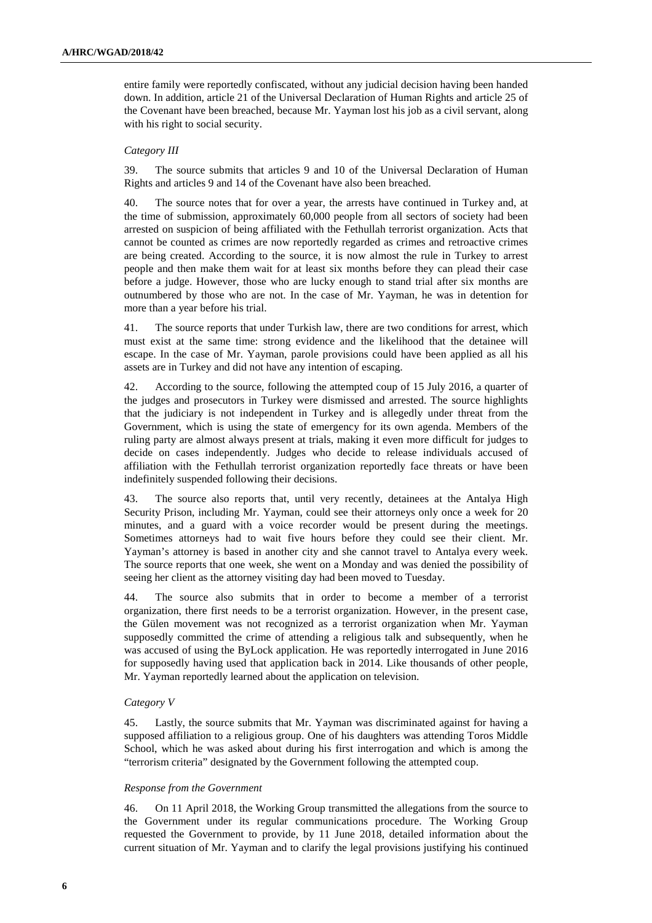entire family were reportedly confiscated, without any judicial decision having been handed down. In addition, article 21 of the Universal Declaration of Human Rights and article 25 of the Covenant have been breached, because Mr. Yayman lost his job as a civil servant, along with his right to social security.

#### *Category III*

39. The source submits that articles 9 and 10 of the Universal Declaration of Human Rights and articles 9 and 14 of the Covenant have also been breached.

40. The source notes that for over a year, the arrests have continued in Turkey and, at the time of submission, approximately 60,000 people from all sectors of society had been arrested on suspicion of being affiliated with the Fethullah terrorist organization. Acts that cannot be counted as crimes are now reportedly regarded as crimes and retroactive crimes are being created. According to the source, it is now almost the rule in Turkey to arrest people and then make them wait for at least six months before they can plead their case before a judge. However, those who are lucky enough to stand trial after six months are outnumbered by those who are not. In the case of Mr. Yayman, he was in detention for more than a year before his trial.

41. The source reports that under Turkish law, there are two conditions for arrest, which must exist at the same time: strong evidence and the likelihood that the detainee will escape. In the case of Mr. Yayman, parole provisions could have been applied as all his assets are in Turkey and did not have any intention of escaping.

42. According to the source, following the attempted coup of 15 July 2016, a quarter of the judges and prosecutors in Turkey were dismissed and arrested. The source highlights that the judiciary is not independent in Turkey and is allegedly under threat from the Government, which is using the state of emergency for its own agenda. Members of the ruling party are almost always present at trials, making it even more difficult for judges to decide on cases independently. Judges who decide to release individuals accused of affiliation with the Fethullah terrorist organization reportedly face threats or have been indefinitely suspended following their decisions.

43. The source also reports that, until very recently, detainees at the Antalya High Security Prison, including Mr. Yayman, could see their attorneys only once a week for 20 minutes, and a guard with a voice recorder would be present during the meetings. Sometimes attorneys had to wait five hours before they could see their client. Mr. Yayman's attorney is based in another city and she cannot travel to Antalya every week. The source reports that one week, she went on a Monday and was denied the possibility of seeing her client as the attorney visiting day had been moved to Tuesday.

44. The source also submits that in order to become a member of a terrorist organization, there first needs to be a terrorist organization. However, in the present case, the Gülen movement was not recognized as a terrorist organization when Mr. Yayman supposedly committed the crime of attending a religious talk and subsequently, when he was accused of using the ByLock application. He was reportedly interrogated in June 2016 for supposedly having used that application back in 2014. Like thousands of other people, Mr. Yayman reportedly learned about the application on television.

#### *Category V*

45. Lastly, the source submits that Mr. Yayman was discriminated against for having a supposed affiliation to a religious group. One of his daughters was attending Toros Middle School, which he was asked about during his first interrogation and which is among the "terrorism criteria" designated by the Government following the attempted coup.

#### *Response from the Government*

46. On 11 April 2018, the Working Group transmitted the allegations from the source to the Government under its regular communications procedure. The Working Group requested the Government to provide, by 11 June 2018, detailed information about the current situation of Mr. Yayman and to clarify the legal provisions justifying his continued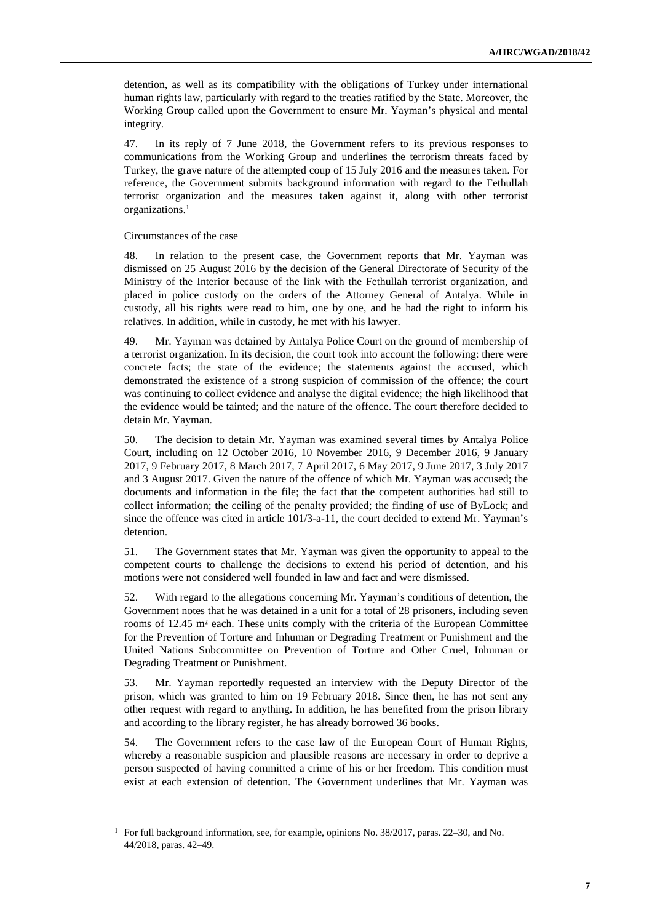detention, as well as its compatibility with the obligations of Turkey under international human rights law, particularly with regard to the treaties ratified by the State. Moreover, the Working Group called upon the Government to ensure Mr. Yayman's physical and mental integrity.

47. In its reply of 7 June 2018, the Government refers to its previous responses to communications from the Working Group and underlines the terrorism threats faced by Turkey, the grave nature of the attempted coup of 15 July 2016 and the measures taken. For reference, the Government submits background information with regard to the Fethullah terrorist organization and the measures taken against it, along with other terrorist organizations.<sup>1</sup>

#### Circumstances of the case

 $\overline{a}$ 

48. In relation to the present case, the Government reports that Mr. Yayman was dismissed on 25 August 2016 by the decision of the General Directorate of Security of the Ministry of the Interior because of the link with the Fethullah terrorist organization, and placed in police custody on the orders of the Attorney General of Antalya. While in custody, all his rights were read to him, one by one, and he had the right to inform his relatives. In addition, while in custody, he met with his lawyer.

49. Mr. Yayman was detained by Antalya Police Court on the ground of membership of a terrorist organization. In its decision, the court took into account the following: there were concrete facts; the state of the evidence; the statements against the accused, which demonstrated the existence of a strong suspicion of commission of the offence; the court was continuing to collect evidence and analyse the digital evidence; the high likelihood that the evidence would be tainted; and the nature of the offence. The court therefore decided to detain Mr. Yayman.

50. The decision to detain Mr. Yayman was examined several times by Antalya Police Court, including on 12 October 2016, 10 November 2016, 9 December 2016, 9 January 2017, 9 February 2017, 8 March 2017, 7 April 2017, 6 May 2017, 9 June 2017, 3 July 2017 and 3 August 2017. Given the nature of the offence of which Mr. Yayman was accused; the documents and information in the file; the fact that the competent authorities had still to collect information; the ceiling of the penalty provided; the finding of use of ByLock; and since the offence was cited in article 101/3-a-11, the court decided to extend Mr. Yayman's detention.

51. The Government states that Mr. Yayman was given the opportunity to appeal to the competent courts to challenge the decisions to extend his period of detention, and his motions were not considered well founded in law and fact and were dismissed.

52. With regard to the allegations concerning Mr. Yayman's conditions of detention, the Government notes that he was detained in a unit for a total of 28 prisoners, including seven rooms of 12.45 m² each. These units comply with the criteria of the European Committee for the Prevention of Torture and Inhuman or Degrading Treatment or Punishment and the United Nations Subcommittee on Prevention of Torture and Other Cruel, Inhuman or Degrading Treatment or Punishment.

53. Mr. Yayman reportedly requested an interview with the Deputy Director of the prison, which was granted to him on 19 February 2018. Since then, he has not sent any other request with regard to anything. In addition, he has benefited from the prison library and according to the library register, he has already borrowed 36 books.

54. The Government refers to the case law of the European Court of Human Rights, whereby a reasonable suspicion and plausible reasons are necessary in order to deprive a person suspected of having committed a crime of his or her freedom. This condition must exist at each extension of detention. The Government underlines that Mr. Yayman was

<sup>&</sup>lt;sup>1</sup> For full background information, see, for example, opinions No. 38/2017, paras. 22–30, and No. 44/2018, paras. 42–49.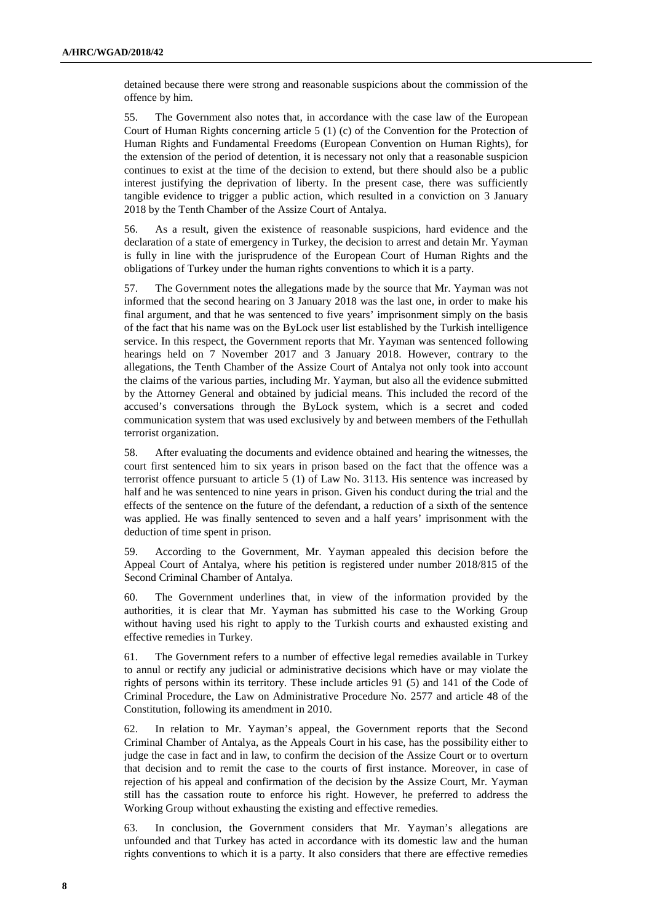detained because there were strong and reasonable suspicions about the commission of the offence by him.

55. The Government also notes that, in accordance with the case law of the European Court of Human Rights concerning article 5 (1) (c) of the Convention for the Protection of Human Rights and Fundamental Freedoms (European Convention on Human Rights), for the extension of the period of detention, it is necessary not only that a reasonable suspicion continues to exist at the time of the decision to extend, but there should also be a public interest justifying the deprivation of liberty. In the present case, there was sufficiently tangible evidence to trigger a public action, which resulted in a conviction on 3 January 2018 by the Tenth Chamber of the Assize Court of Antalya.

56. As a result, given the existence of reasonable suspicions, hard evidence and the declaration of a state of emergency in Turkey, the decision to arrest and detain Mr. Yayman is fully in line with the jurisprudence of the European Court of Human Rights and the obligations of Turkey under the human rights conventions to which it is a party.

57. The Government notes the allegations made by the source that Mr. Yayman was not informed that the second hearing on 3 January 2018 was the last one, in order to make his final argument, and that he was sentenced to five years' imprisonment simply on the basis of the fact that his name was on the ByLock user list established by the Turkish intelligence service. In this respect, the Government reports that Mr. Yayman was sentenced following hearings held on 7 November 2017 and 3 January 2018. However, contrary to the allegations, the Tenth Chamber of the Assize Court of Antalya not only took into account the claims of the various parties, including Mr. Yayman, but also all the evidence submitted by the Attorney General and obtained by judicial means. This included the record of the accused's conversations through the ByLock system, which is a secret and coded communication system that was used exclusively by and between members of the Fethullah terrorist organization.

58. After evaluating the documents and evidence obtained and hearing the witnesses, the court first sentenced him to six years in prison based on the fact that the offence was a terrorist offence pursuant to article 5 (1) of Law No. 3113. His sentence was increased by half and he was sentenced to nine years in prison. Given his conduct during the trial and the effects of the sentence on the future of the defendant, a reduction of a sixth of the sentence was applied. He was finally sentenced to seven and a half years' imprisonment with the deduction of time spent in prison.

59. According to the Government, Mr. Yayman appealed this decision before the Appeal Court of Antalya, where his petition is registered under number 2018/815 of the Second Criminal Chamber of Antalya.

60. The Government underlines that, in view of the information provided by the authorities, it is clear that Mr. Yayman has submitted his case to the Working Group without having used his right to apply to the Turkish courts and exhausted existing and effective remedies in Turkey.

61. The Government refers to a number of effective legal remedies available in Turkey to annul or rectify any judicial or administrative decisions which have or may violate the rights of persons within its territory. These include articles 91 (5) and 141 of the Code of Criminal Procedure, the Law on Administrative Procedure No. 2577 and article 48 of the Constitution, following its amendment in 2010.

62. In relation to Mr. Yayman's appeal, the Government reports that the Second Criminal Chamber of Antalya, as the Appeals Court in his case, has the possibility either to judge the case in fact and in law, to confirm the decision of the Assize Court or to overturn that decision and to remit the case to the courts of first instance. Moreover, in case of rejection of his appeal and confirmation of the decision by the Assize Court, Mr. Yayman still has the cassation route to enforce his right. However, he preferred to address the Working Group without exhausting the existing and effective remedies.

63. In conclusion, the Government considers that Mr. Yayman's allegations are unfounded and that Turkey has acted in accordance with its domestic law and the human rights conventions to which it is a party. It also considers that there are effective remedies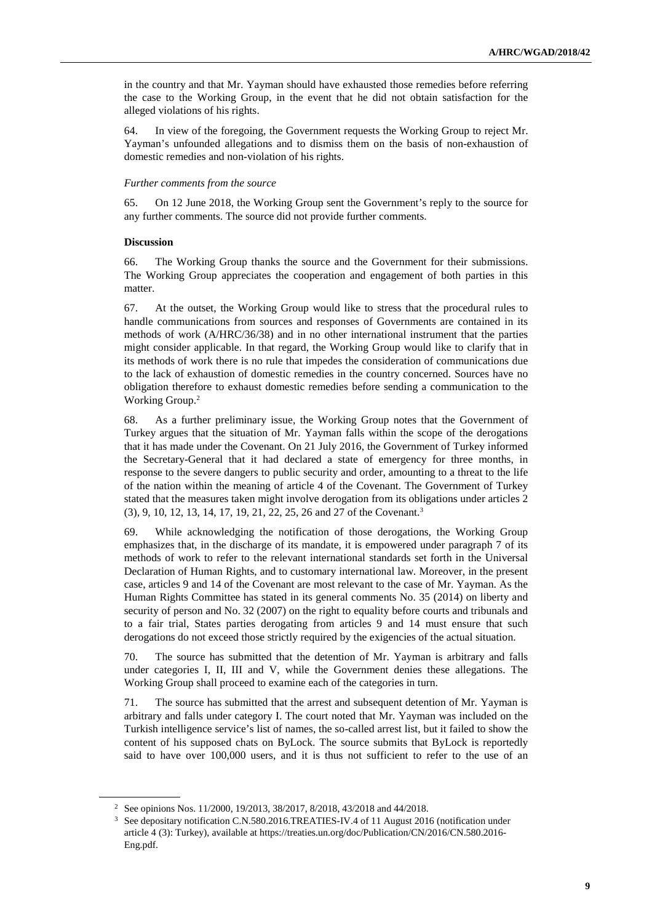in the country and that Mr. Yayman should have exhausted those remedies before referring the case to the Working Group, in the event that he did not obtain satisfaction for the alleged violations of his rights.

64. In view of the foregoing, the Government requests the Working Group to reject Mr. Yayman's unfounded allegations and to dismiss them on the basis of non-exhaustion of domestic remedies and non-violation of his rights.

#### *Further comments from the source*

65. On 12 June 2018, the Working Group sent the Government's reply to the source for any further comments. The source did not provide further comments.

#### **Discussion**

 $\overline{a}$ 

66. The Working Group thanks the source and the Government for their submissions. The Working Group appreciates the cooperation and engagement of both parties in this matter.

67. At the outset, the Working Group would like to stress that the procedural rules to handle communications from sources and responses of Governments are contained in its methods of work (A/HRC/36/38) and in no other international instrument that the parties might consider applicable. In that regard, the Working Group would like to clarify that in its methods of work there is no rule that impedes the consideration of communications due to the lack of exhaustion of domestic remedies in the country concerned. Sources have no obligation therefore to exhaust domestic remedies before sending a communication to the Working Group.<sup>2</sup>

68. As a further preliminary issue, the Working Group notes that the Government of Turkey argues that the situation of Mr. Yayman falls within the scope of the derogations that it has made under the Covenant. On 21 July 2016, the Government of Turkey informed the Secretary-General that it had declared a state of emergency for three months, in response to the severe dangers to public security and order, amounting to a threat to the life of the nation within the meaning of article 4 of the Covenant. The Government of Turkey stated that the measures taken might involve derogation from its obligations under articles 2 (3), 9, 10, 12, 13, 14, 17, 19, 21, 22, 25, 26 and 27 of the Covenant.<sup>3</sup>

69. While acknowledging the notification of those derogations, the Working Group emphasizes that, in the discharge of its mandate, it is empowered under paragraph 7 of its methods of work to refer to the relevant international standards set forth in the Universal Declaration of Human Rights, and to customary international law. Moreover, in the present case, articles 9 and 14 of the Covenant are most relevant to the case of Mr. Yayman. As the Human Rights Committee has stated in its general comments No. 35 (2014) on liberty and security of person and No. 32 (2007) on the right to equality before courts and tribunals and to a fair trial, States parties derogating from articles 9 and 14 must ensure that such derogations do not exceed those strictly required by the exigencies of the actual situation.

70. The source has submitted that the detention of Mr. Yayman is arbitrary and falls under categories I, II, III and V, while the Government denies these allegations. The Working Group shall proceed to examine each of the categories in turn.

71. The source has submitted that the arrest and subsequent detention of Mr. Yayman is arbitrary and falls under category I. The court noted that Mr. Yayman was included on the Turkish intelligence service's list of names, the so-called arrest list, but it failed to show the content of his supposed chats on ByLock. The source submits that ByLock is reportedly said to have over 100,000 users, and it is thus not sufficient to refer to the use of an

<sup>2</sup> See opinions Nos. 11/2000, 19/2013, 38/2017, 8/2018, 43/2018 and 44/2018.

<sup>3</sup> See depositary notification C.N.580.2016.TREATIES-IV.4 of 11 August 2016 (notification under article 4 (3): Turkey), available at https://treaties.un.org/doc/Publication/CN/2016/CN.580.2016- Eng.pdf.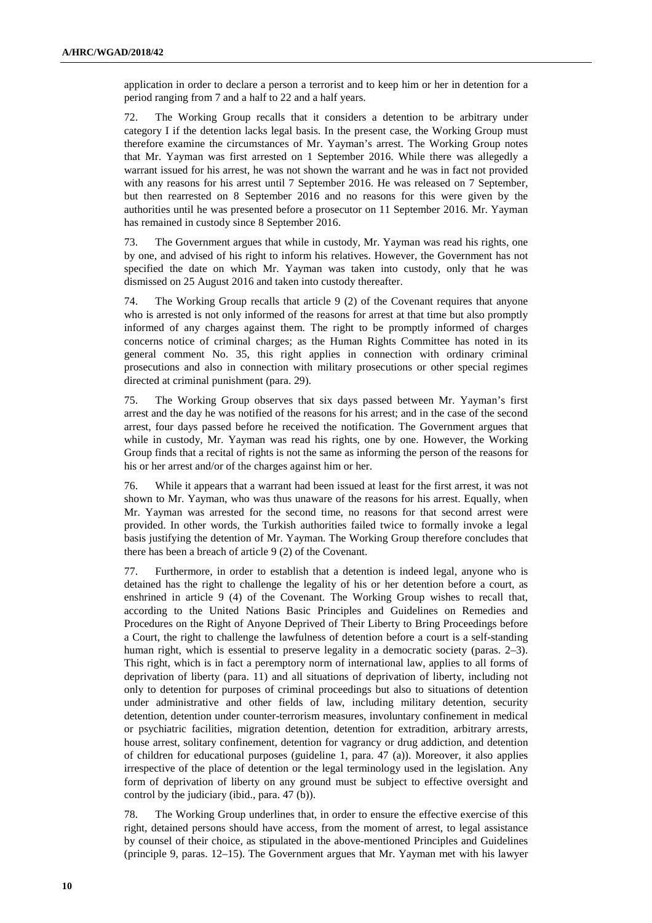application in order to declare a person a terrorist and to keep him or her in detention for a period ranging from 7 and a half to 22 and a half years.

72. The Working Group recalls that it considers a detention to be arbitrary under category I if the detention lacks legal basis. In the present case, the Working Group must therefore examine the circumstances of Mr. Yayman's arrest. The Working Group notes that Mr. Yayman was first arrested on 1 September 2016. While there was allegedly a warrant issued for his arrest, he was not shown the warrant and he was in fact not provided with any reasons for his arrest until 7 September 2016. He was released on 7 September, but then rearrested on 8 September 2016 and no reasons for this were given by the authorities until he was presented before a prosecutor on 11 September 2016. Mr. Yayman has remained in custody since 8 September 2016.

73. The Government argues that while in custody, Mr. Yayman was read his rights, one by one, and advised of his right to inform his relatives. However, the Government has not specified the date on which Mr. Yayman was taken into custody, only that he was dismissed on 25 August 2016 and taken into custody thereafter.

74. The Working Group recalls that article 9 (2) of the Covenant requires that anyone who is arrested is not only informed of the reasons for arrest at that time but also promptly informed of any charges against them. The right to be promptly informed of charges concerns notice of criminal charges; as the Human Rights Committee has noted in its general comment No. 35, this right applies in connection with ordinary criminal prosecutions and also in connection with military prosecutions or other special regimes directed at criminal punishment (para. 29).

75. The Working Group observes that six days passed between Mr. Yayman's first arrest and the day he was notified of the reasons for his arrest; and in the case of the second arrest, four days passed before he received the notification. The Government argues that while in custody, Mr. Yayman was read his rights, one by one. However, the Working Group finds that a recital of rights is not the same as informing the person of the reasons for his or her arrest and/or of the charges against him or her.

76. While it appears that a warrant had been issued at least for the first arrest, it was not shown to Mr. Yayman, who was thus unaware of the reasons for his arrest. Equally, when Mr. Yayman was arrested for the second time, no reasons for that second arrest were provided. In other words, the Turkish authorities failed twice to formally invoke a legal basis justifying the detention of Mr. Yayman. The Working Group therefore concludes that there has been a breach of article 9 (2) of the Covenant.

77. Furthermore, in order to establish that a detention is indeed legal, anyone who is detained has the right to challenge the legality of his or her detention before a court, as enshrined in article 9 (4) of the Covenant. The Working Group wishes to recall that, according to the United Nations Basic Principles and Guidelines on Remedies and Procedures on the Right of Anyone Deprived of Their Liberty to Bring Proceedings before a Court, the right to challenge the lawfulness of detention before a court is a self-standing human right, which is essential to preserve legality in a democratic society (paras. 2–3). This right, which is in fact a peremptory norm of international law, applies to all forms of deprivation of liberty (para. 11) and all situations of deprivation of liberty, including not only to detention for purposes of criminal proceedings but also to situations of detention under administrative and other fields of law, including military detention, security detention, detention under counter-terrorism measures, involuntary confinement in medical or psychiatric facilities, migration detention, detention for extradition, arbitrary arrests, house arrest, solitary confinement, detention for vagrancy or drug addiction, and detention of children for educational purposes (guideline 1, para. 47 (a)). Moreover, it also applies irrespective of the place of detention or the legal terminology used in the legislation. Any form of deprivation of liberty on any ground must be subject to effective oversight and control by the judiciary (ibid., para. 47 (b)).

78. The Working Group underlines that, in order to ensure the effective exercise of this right, detained persons should have access, from the moment of arrest, to legal assistance by counsel of their choice, as stipulated in the above-mentioned Principles and Guidelines (principle 9, paras. 12–15). The Government argues that Mr. Yayman met with his lawyer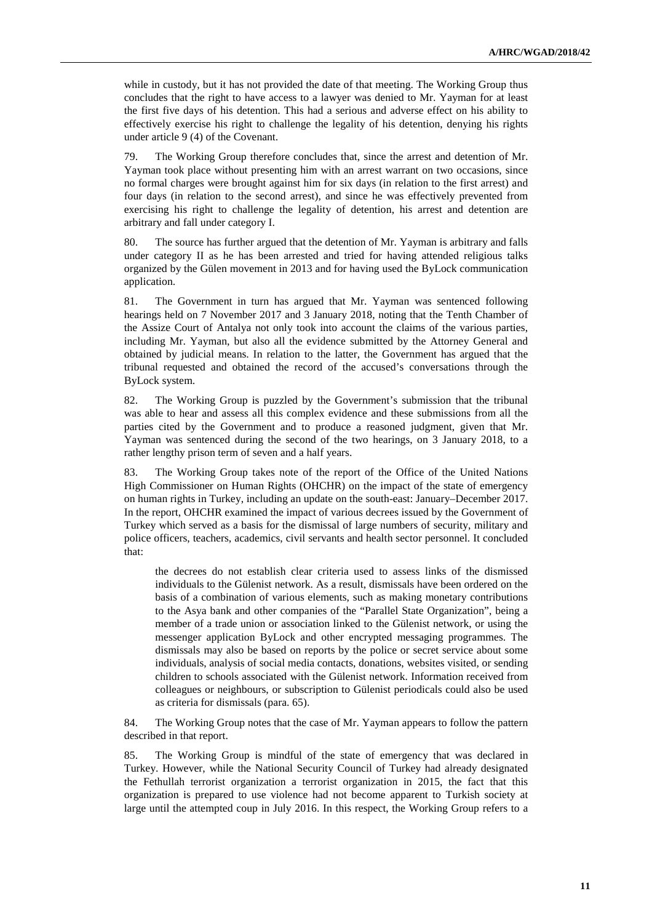while in custody, but it has not provided the date of that meeting. The Working Group thus concludes that the right to have access to a lawyer was denied to Mr. Yayman for at least the first five days of his detention. This had a serious and adverse effect on his ability to effectively exercise his right to challenge the legality of his detention, denying his rights under article 9 (4) of the Covenant.

79. The Working Group therefore concludes that, since the arrest and detention of Mr. Yayman took place without presenting him with an arrest warrant on two occasions, since no formal charges were brought against him for six days (in relation to the first arrest) and four days (in relation to the second arrest), and since he was effectively prevented from exercising his right to challenge the legality of detention, his arrest and detention are arbitrary and fall under category I.

80. The source has further argued that the detention of Mr. Yayman is arbitrary and falls under category II as he has been arrested and tried for having attended religious talks organized by the Gülen movement in 2013 and for having used the ByLock communication application.

81. The Government in turn has argued that Mr. Yayman was sentenced following hearings held on 7 November 2017 and 3 January 2018, noting that the Tenth Chamber of the Assize Court of Antalya not only took into account the claims of the various parties, including Mr. Yayman, but also all the evidence submitted by the Attorney General and obtained by judicial means. In relation to the latter, the Government has argued that the tribunal requested and obtained the record of the accused's conversations through the ByLock system.

82. The Working Group is puzzled by the Government's submission that the tribunal was able to hear and assess all this complex evidence and these submissions from all the parties cited by the Government and to produce a reasoned judgment, given that Mr. Yayman was sentenced during the second of the two hearings, on 3 January 2018, to a rather lengthy prison term of seven and a half years.

83. The Working Group takes note of the report of the Office of the United Nations High Commissioner on Human Rights (OHCHR) on the impact of the state of emergency on human rights in Turkey, including an update on the south-east: January–December 2017. In the report, OHCHR examined the impact of various decrees issued by the Government of Turkey which served as a basis for the dismissal of large numbers of security, military and police officers, teachers, academics, civil servants and health sector personnel. It concluded that:

the decrees do not establish clear criteria used to assess links of the dismissed individuals to the Gülenist network. As a result, dismissals have been ordered on the basis of a combination of various elements, such as making monetary contributions to the Asya bank and other companies of the "Parallel State Organization", being a member of a trade union or association linked to the Gülenist network, or using the messenger application ByLock and other encrypted messaging programmes. The dismissals may also be based on reports by the police or secret service about some individuals, analysis of social media contacts, donations, websites visited, or sending children to schools associated with the Gülenist network. Information received from colleagues or neighbours, or subscription to Gülenist periodicals could also be used as criteria for dismissals (para. 65).

84. The Working Group notes that the case of Mr. Yayman appears to follow the pattern described in that report.

85. The Working Group is mindful of the state of emergency that was declared in Turkey. However, while the National Security Council of Turkey had already designated the Fethullah terrorist organization a terrorist organization in 2015, the fact that this organization is prepared to use violence had not become apparent to Turkish society at large until the attempted coup in July 2016. In this respect, the Working Group refers to a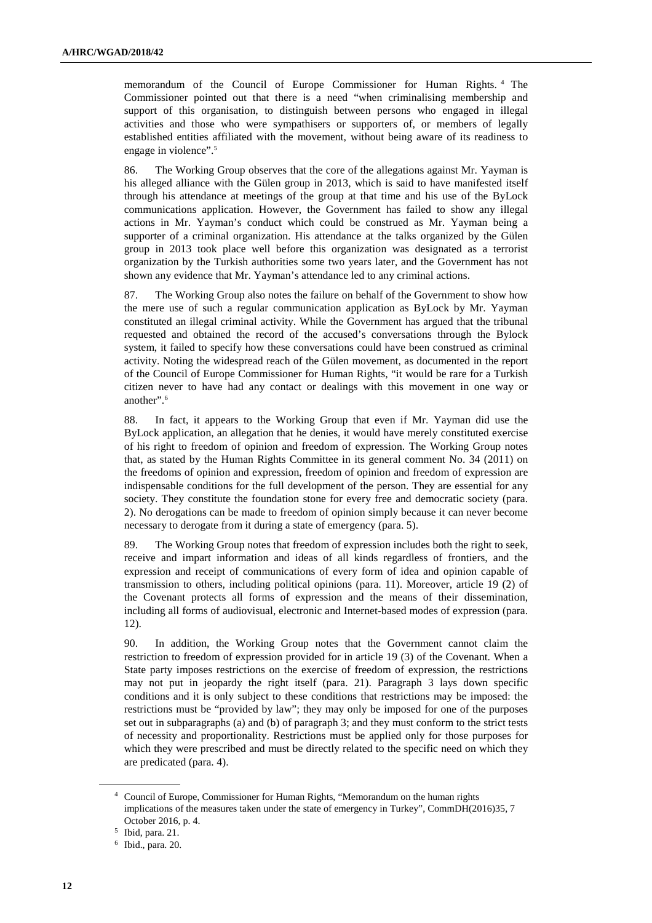memorandum of the Council of Europe Commissioner for Human Rights. <sup>4</sup> The Commissioner pointed out that there is a need "when criminalising membership and support of this organisation, to distinguish between persons who engaged in illegal activities and those who were sympathisers or supporters of, or members of legally established entities affiliated with the movement, without being aware of its readiness to engage in violence".<sup>5</sup>

86. The Working Group observes that the core of the allegations against Mr. Yayman is his alleged alliance with the Gülen group in 2013, which is said to have manifested itself through his attendance at meetings of the group at that time and his use of the ByLock communications application. However, the Government has failed to show any illegal actions in Mr. Yayman's conduct which could be construed as Mr. Yayman being a supporter of a criminal organization. His attendance at the talks organized by the Gülen group in 2013 took place well before this organization was designated as a terrorist organization by the Turkish authorities some two years later, and the Government has not shown any evidence that Mr. Yayman's attendance led to any criminal actions.

87. The Working Group also notes the failure on behalf of the Government to show how the mere use of such a regular communication application as ByLock by Mr. Yayman constituted an illegal criminal activity. While the Government has argued that the tribunal requested and obtained the record of the accused's conversations through the Bylock system, it failed to specify how these conversations could have been construed as criminal activity. Noting the widespread reach of the Gülen movement, as documented in the report of the Council of Europe Commissioner for Human Rights, "it would be rare for a Turkish citizen never to have had any contact or dealings with this movement in one way or another".<sup>6</sup>

88. In fact, it appears to the Working Group that even if Mr. Yayman did use the ByLock application, an allegation that he denies, it would have merely constituted exercise of his right to freedom of opinion and freedom of expression. The Working Group notes that, as stated by the Human Rights Committee in its general comment No. 34 (2011) on the freedoms of opinion and expression, freedom of opinion and freedom of expression are indispensable conditions for the full development of the person. They are essential for any society. They constitute the foundation stone for every free and democratic society (para. 2). No derogations can be made to freedom of opinion simply because it can never become necessary to derogate from it during a state of emergency (para. 5).

89. The Working Group notes that freedom of expression includes both the right to seek, receive and impart information and ideas of all kinds regardless of frontiers, and the expression and receipt of communications of every form of idea and opinion capable of transmission to others, including political opinions (para. 11). Moreover, article 19 (2) of the Covenant protects all forms of expression and the means of their dissemination, including all forms of audiovisual, electronic and Internet-based modes of expression (para. 12).

90. In addition, the Working Group notes that the Government cannot claim the restriction to freedom of expression provided for in article 19 (3) of the Covenant. When a State party imposes restrictions on the exercise of freedom of expression, the restrictions may not put in jeopardy the right itself (para. 21). Paragraph 3 lays down specific conditions and it is only subject to these conditions that restrictions may be imposed: the restrictions must be "provided by law"; they may only be imposed for one of the purposes set out in subparagraphs (a) and (b) of paragraph 3; and they must conform to the strict tests of necessity and proportionality. Restrictions must be applied only for those purposes for which they were prescribed and must be directly related to the specific need on which they are predicated (para. 4).

<sup>4</sup> Council of Europe, Commissioner for Human Rights, "Memorandum on the human rights implications of the measures taken under the state of emergency in Turkey", CommDH(2016)35, 7 October 2016, p. 4.

<sup>5</sup> Ibid, para. 21.

<sup>6</sup> Ibid., para. 20.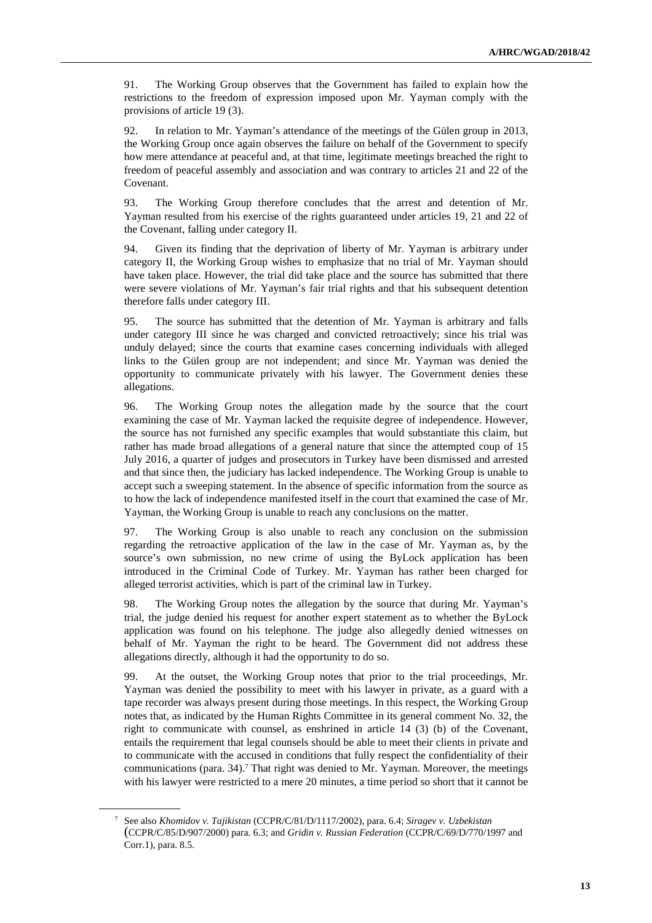91. The Working Group observes that the Government has failed to explain how the restrictions to the freedom of expression imposed upon Mr. Yayman comply with the provisions of article 19 (3).

92. In relation to Mr. Yayman's attendance of the meetings of the Gülen group in 2013, the Working Group once again observes the failure on behalf of the Government to specify how mere attendance at peaceful and, at that time, legitimate meetings breached the right to freedom of peaceful assembly and association and was contrary to articles 21 and 22 of the Covenant.

93. The Working Group therefore concludes that the arrest and detention of Mr. Yayman resulted from his exercise of the rights guaranteed under articles 19, 21 and 22 of the Covenant, falling under category II.

94. Given its finding that the deprivation of liberty of Mr. Yayman is arbitrary under category II, the Working Group wishes to emphasize that no trial of Mr. Yayman should have taken place. However, the trial did take place and the source has submitted that there were severe violations of Mr. Yayman's fair trial rights and that his subsequent detention therefore falls under category III.

95. The source has submitted that the detention of Mr. Yayman is arbitrary and falls under category III since he was charged and convicted retroactively; since his trial was unduly delayed; since the courts that examine cases concerning individuals with alleged links to the Gülen group are not independent; and since Mr. Yayman was denied the opportunity to communicate privately with his lawyer. The Government denies these allegations.

96. The Working Group notes the allegation made by the source that the court examining the case of Mr. Yayman lacked the requisite degree of independence. However, the source has not furnished any specific examples that would substantiate this claim, but rather has made broad allegations of a general nature that since the attempted coup of 15 July 2016, a quarter of judges and prosecutors in Turkey have been dismissed and arrested and that since then, the judiciary has lacked independence. The Working Group is unable to accept such a sweeping statement. In the absence of specific information from the source as to how the lack of independence manifested itself in the court that examined the case of Mr. Yayman, the Working Group is unable to reach any conclusions on the matter.

97. The Working Group is also unable to reach any conclusion on the submission regarding the retroactive application of the law in the case of Mr. Yayman as, by the source's own submission, no new crime of using the ByLock application has been introduced in the Criminal Code of Turkey. Mr. Yayman has rather been charged for alleged terrorist activities, which is part of the criminal law in Turkey.

98. The Working Group notes the allegation by the source that during Mr. Yayman's trial, the judge denied his request for another expert statement as to whether the ByLock application was found on his telephone. The judge also allegedly denied witnesses on behalf of Mr. Yayman the right to be heard. The Government did not address these allegations directly, although it had the opportunity to do so.

99. At the outset, the Working Group notes that prior to the trial proceedings, Mr. Yayman was denied the possibility to meet with his lawyer in private, as a guard with a tape recorder was always present during those meetings. In this respect, the Working Group notes that, as indicated by the Human Rights Committee in its general comment No. 32, the right to communicate with counsel, as enshrined in article 14 (3) (b) of the Covenant, entails the requirement that legal counsels should be able to meet their clients in private and to communicate with the accused in conditions that fully respect the confidentiality of their communications (para. 34).<sup>7</sup> That right was denied to Mr. Yayman. Moreover, the meetings with his lawyer were restricted to a mere 20 minutes, a time period so short that it cannot be

<sup>7</sup> See also *Khomidov v. Tajikistan* (CCPR/C/81/D/1117/2002), para. 6.4; *Siragev v. Uzbekistan* (CCPR/C/85/D/907/2000) para. 6.3; and *Gridin v. Russian Federation* (CCPR/C/69/D/770/1997 and Corr.1), para. 8.5.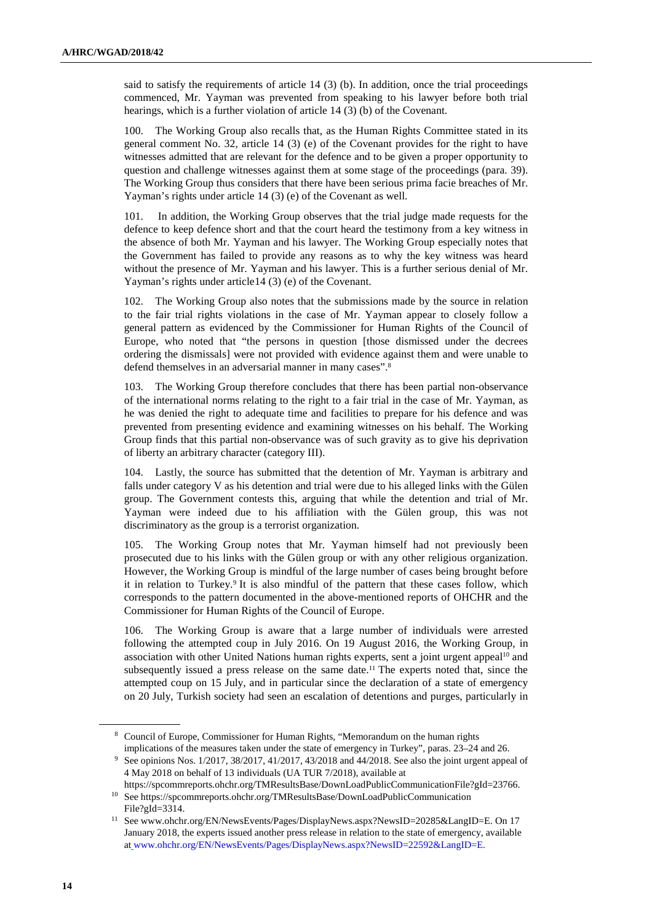said to satisfy the requirements of article 14 (3) (b). In addition, once the trial proceedings commenced, Mr. Yayman was prevented from speaking to his lawyer before both trial hearings, which is a further violation of article 14 (3) (b) of the Covenant.

100. The Working Group also recalls that, as the Human Rights Committee stated in its general comment No. 32, article 14 (3) (e) of the Covenant provides for the right to have witnesses admitted that are relevant for the defence and to be given a proper opportunity to question and challenge witnesses against them at some stage of the proceedings (para. 39). The Working Group thus considers that there have been serious prima facie breaches of Mr. Yayman's rights under article 14 (3) (e) of the Covenant as well.

101. In addition, the Working Group observes that the trial judge made requests for the defence to keep defence short and that the court heard the testimony from a key witness in the absence of both Mr. Yayman and his lawyer. The Working Group especially notes that the Government has failed to provide any reasons as to why the key witness was heard without the presence of Mr. Yayman and his lawyer. This is a further serious denial of Mr. Yayman's rights under article14 (3) (e) of the Covenant.

102. The Working Group also notes that the submissions made by the source in relation to the fair trial rights violations in the case of Mr. Yayman appear to closely follow a general pattern as evidenced by the Commissioner for Human Rights of the Council of Europe, who noted that "the persons in question [those dismissed under the decrees ordering the dismissals] were not provided with evidence against them and were unable to defend themselves in an adversarial manner in many cases".<sup>8</sup>

103. The Working Group therefore concludes that there has been partial non-observance of the international norms relating to the right to a fair trial in the case of Mr. Yayman, as he was denied the right to adequate time and facilities to prepare for his defence and was prevented from presenting evidence and examining witnesses on his behalf. The Working Group finds that this partial non-observance was of such gravity as to give his deprivation of liberty an arbitrary character (category III).

104. Lastly, the source has submitted that the detention of Mr. Yayman is arbitrary and falls under category V as his detention and trial were due to his alleged links with the Gülen group. The Government contests this, arguing that while the detention and trial of Mr. Yayman were indeed due to his affiliation with the Gülen group, this was not discriminatory as the group is a terrorist organization.

105. The Working Group notes that Mr. Yayman himself had not previously been prosecuted due to his links with the Gülen group or with any other religious organization. However, the Working Group is mindful of the large number of cases being brought before it in relation to Turkey.<sup>9</sup> It is also mindful of the pattern that these cases follow, which corresponds to the pattern documented in the above-mentioned reports of OHCHR and the Commissioner for Human Rights of the Council of Europe.

106. The Working Group is aware that a large number of individuals were arrested following the attempted coup in July 2016. On 19 August 2016, the Working Group, in association with other United Nations human rights experts, sent a joint urgent appeal<sup>10</sup> and subsequently issued a press release on the same date.<sup>11</sup> The experts noted that, since the attempted coup on 15 July, and in particular since the declaration of a state of emergency on 20 July, Turkish society had seen an escalation of detentions and purges, particularly in

<sup>&</sup>lt;sup>8</sup> Council of Europe, Commissioner for Human Rights, "Memorandum on the human rights implications of the measures taken under the state of emergency in Turkey", paras. 23–24 and 26.

<sup>9</sup> See opinions Nos. 1/2017, 38/2017, 41/2017, 43/2018 and 44/2018. See also the joint urgent appeal of 4 May 2018 on behalf of 13 individuals (UA TUR 7/2018), available at

https://spcommreports.ohchr.org/TMResultsBase/DownLoadPublicCommunicationFile?gId=23766.

<sup>10</sup> See https://spcommreports.ohchr.org/TMResultsBase/DownLoadPublicCommunication File?gId=3314.

<sup>11</sup> See www.ohchr.org/EN/NewsEvents/Pages/DisplayNews.aspx?NewsID=20285&LangID=E. On 17 January 2018, the experts issued another press release in relation to the state of emergency, available at www.ohchr.org/EN/NewsEvents/Pages/DisplayNews.aspx?NewsID=22592&LangID=E.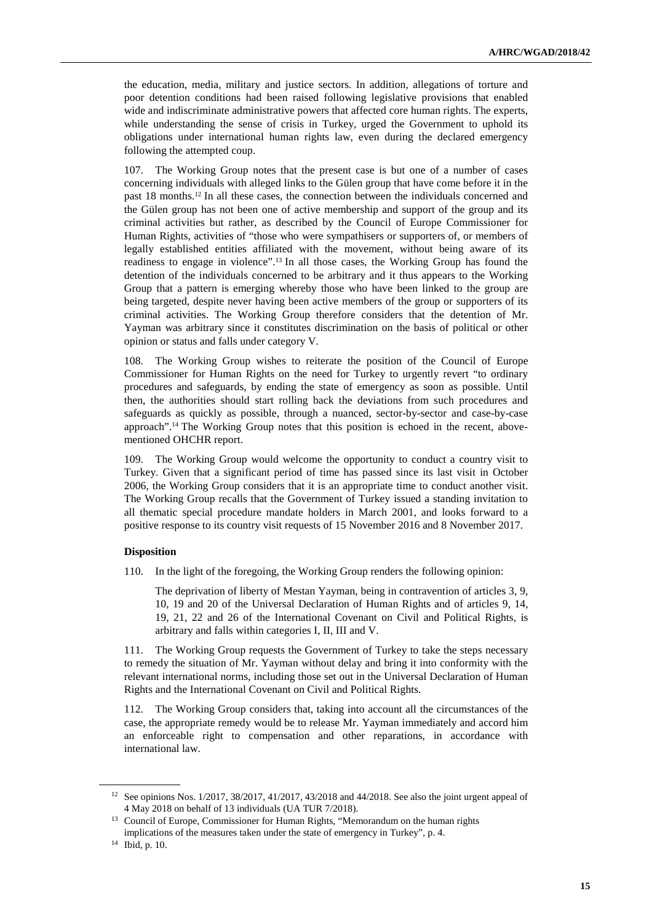the education, media, military and justice sectors. In addition, allegations of torture and poor detention conditions had been raised following legislative provisions that enabled wide and indiscriminate administrative powers that affected core human rights. The experts, while understanding the sense of crisis in Turkey, urged the Government to uphold its obligations under international human rights law, even during the declared emergency following the attempted coup.

107. The Working Group notes that the present case is but one of a number of cases concerning individuals with alleged links to the Gülen group that have come before it in the past 18 months.12 In all these cases, the connection between the individuals concerned and the Gülen group has not been one of active membership and support of the group and its criminal activities but rather, as described by the Council of Europe Commissioner for Human Rights, activities of "those who were sympathisers or supporters of, or members of legally established entities affiliated with the movement, without being aware of its readiness to engage in violence".13 In all those cases, the Working Group has found the detention of the individuals concerned to be arbitrary and it thus appears to the Working Group that a pattern is emerging whereby those who have been linked to the group are being targeted, despite never having been active members of the group or supporters of its criminal activities. The Working Group therefore considers that the detention of Mr. Yayman was arbitrary since it constitutes discrimination on the basis of political or other opinion or status and falls under category V.

108. The Working Group wishes to reiterate the position of the Council of Europe Commissioner for Human Rights on the need for Turkey to urgently revert "to ordinary procedures and safeguards, by ending the state of emergency as soon as possible. Until then, the authorities should start rolling back the deviations from such procedures and safeguards as quickly as possible, through a nuanced, sector-by-sector and case-by-case approach".14 The Working Group notes that this position is echoed in the recent, abovementioned OHCHR report.

109. The Working Group would welcome the opportunity to conduct a country visit to Turkey. Given that a significant period of time has passed since its last visit in October 2006, the Working Group considers that it is an appropriate time to conduct another visit. The Working Group recalls that the Government of Turkey issued a standing invitation to all thematic special procedure mandate holders in March 2001, and looks forward to a positive response to its country visit requests of 15 November 2016 and 8 November 2017.

#### **Disposition**

110. In the light of the foregoing, the Working Group renders the following opinion:

The deprivation of liberty of Mestan Yayman, being in contravention of articles 3, 9, 10, 19 and 20 of the Universal Declaration of Human Rights and of articles 9, 14, 19, 21, 22 and 26 of the International Covenant on Civil and Political Rights, is arbitrary and falls within categories I, II, III and V.

111. The Working Group requests the Government of Turkey to take the steps necessary to remedy the situation of Mr. Yayman without delay and bring it into conformity with the relevant international norms, including those set out in the Universal Declaration of Human Rights and the International Covenant on Civil and Political Rights.

112. The Working Group considers that, taking into account all the circumstances of the case, the appropriate remedy would be to release Mr. Yayman immediately and accord him an enforceable right to compensation and other reparations, in accordance with international law.

<sup>12</sup> See opinions Nos. 1/2017, 38/2017, 41/2017, 43/2018 and 44/2018. See also the joint urgent appeal of 4 May 2018 on behalf of 13 individuals (UA TUR 7/2018).

<sup>&</sup>lt;sup>13</sup> Council of Europe, Commissioner for Human Rights, "Memorandum on the human rights implications of the measures taken under the state of emergency in Turkey", p. 4.

<sup>14</sup> Ibid, p. 10.